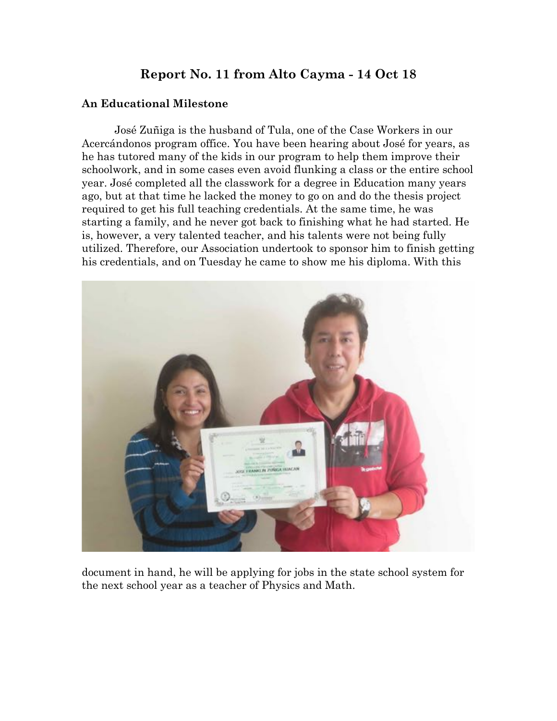# **Report No. 11 from Alto Cayma - 14 Oct 18**

#### **An Educational Milestone**

José Zuñiga is the husband of Tula, one of the Case Workers in our Acercándonos program office. You have been hearing about José for years, as he has tutored many of the kids in our program to help them improve their schoolwork, and in some cases even avoid flunking a class or the entire school year. José completed all the classwork for a degree in Education many years ago, but at that time he lacked the money to go on and do the thesis project required to get his full teaching credentials. At the same time, he was starting a family, and he never got back to finishing what he had started. He is, however, a very talented teacher, and his talents were not being fully utilized. Therefore, our Association undertook to sponsor him to finish getting his credentials, and on Tuesday he came to show me his diploma. With this



document in hand, he will be applying for jobs in the state school system for the next school year as a teacher of Physics and Math.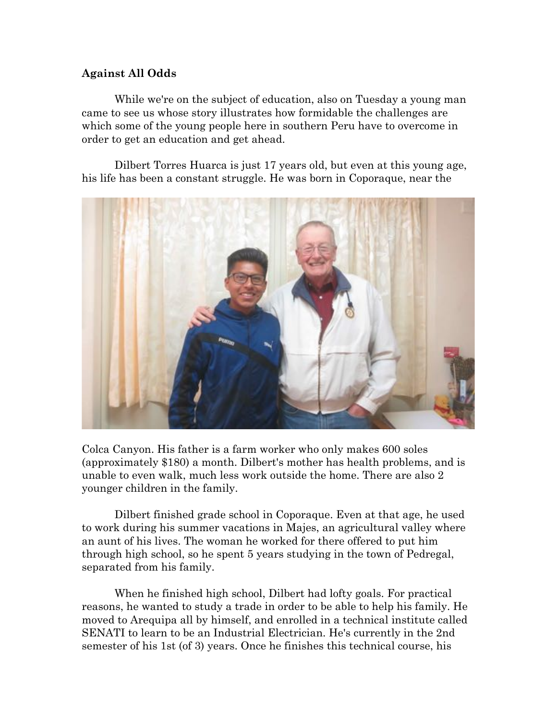#### **Against All Odds**

While we're on the subject of education, also on Tuesday a young man came to see us whose story illustrates how formidable the challenges are which some of the young people here in southern Peru have to overcome in order to get an education and get ahead.

Dilbert Torres Huarca is just 17 years old, but even at this young age, his life has been a constant struggle. He was born in Coporaque, near the



Colca Canyon. His father is a farm worker who only makes 600 soles (approximately \$180) a month. Dilbert's mother has health problems, and is unable to even walk, much less work outside the home. There are also 2 younger children in the family.

Dilbert finished grade school in Coporaque. Even at that age, he used to work during his summer vacations in Majes, an agricultural valley where an aunt of his lives. The woman he worked for there offered to put him through high school, so he spent 5 years studying in the town of Pedregal, separated from his family.

When he finished high school, Dilbert had lofty goals. For practical reasons, he wanted to study a trade in order to be able to help his family. He moved to Arequipa all by himself, and enrolled in a technical institute called SENATI to learn to be an Industrial Electrician. He's currently in the 2nd semester of his 1st (of 3) years. Once he finishes this technical course, his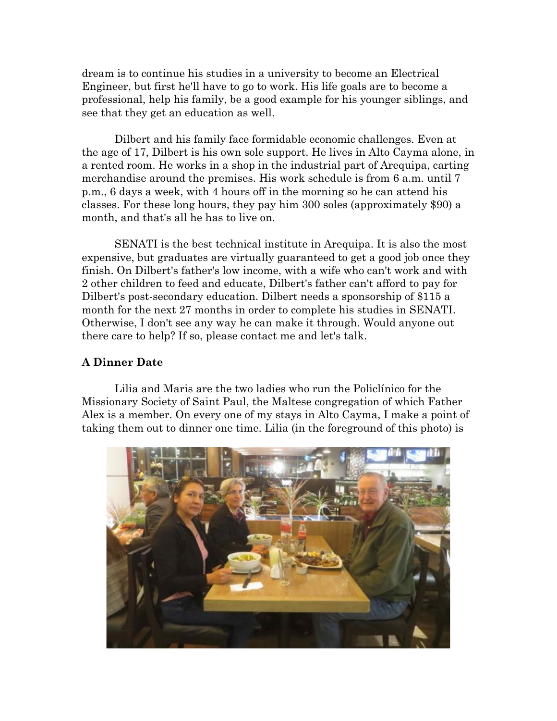dream is to continue his studies in a university to become an Electrical Engineer, but first he'll have to go to work. His life goals are to become a professional, help his family, be a good example for his younger siblings, and see that they get an education as well.

Dilbert and his family face formidable economic challenges. Even at the age of 17, Dilbert is his own sole support. He lives in Alto Cayma alone, in a rented room. He works in a shop in the industrial part of Arequipa, carting merchandise around the premises. His work schedule is from 6 a.m. until 7 p.m., 6 days a week, with 4 hours off in the morning so he can attend his classes. For these long hours, they pay him 300 soles (approximately \$90) a month, and that's all he has to live on.

SENATI is the best technical institute in Arequipa. It is also the most expensive, but graduates are virtually guaranteed to get a good job once they finish. On Dilbert's father's low income, with a wife who can't work and with 2 other children to feed and educate, Dilbert's father can't afford to pay for Dilbert's post-secondary education. Dilbert needs a sponsorship of \$115 a month for the next 27 months in order to complete his studies in SENATI. Otherwise, I don't see any way he can make it through. Would anyone out there care to help? If so, please contact me and let's talk.

#### **A Dinner Date**

Lilia and Maris are the two ladies who run the Policlínico for the Missionary Society of Saint Paul, the Maltese congregation of which Father Alex is a member. On every one of my stays in Alto Cayma, I make a point of taking them out to dinner one time. Lilia (in the foreground of this photo) is

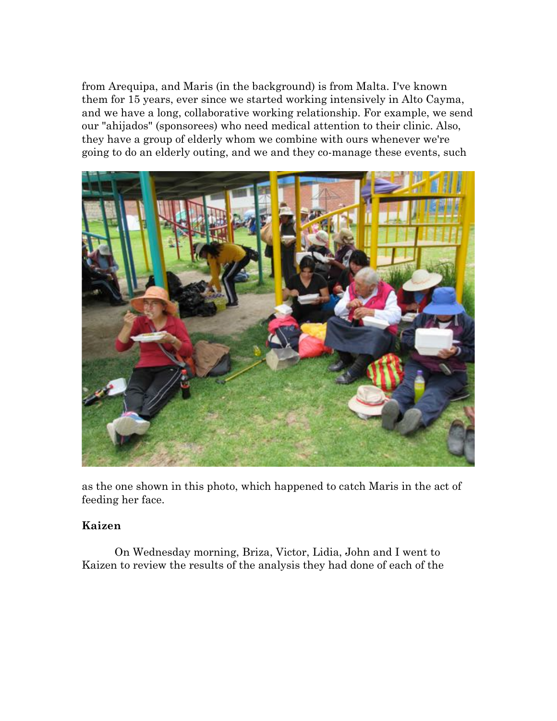from Arequipa, and Maris (in the background) is from Malta. I've known them for 15 years, ever since we started working intensively in Alto Cayma, and we have a long, collaborative working relationship. For example, we send our "ahijados" (sponsorees) who need medical attention to their clinic. Also, they have a group of elderly whom we combine with ours whenever we're going to do an elderly outing, and we and they co-manage these events, such



as the one shown in this photo, which happened to catch Maris in the act of feeding her face.

### **Kaizen**

On Wednesday morning, Briza, Victor, Lidia, John and I went to Kaizen to review the results of the analysis they had done of each of the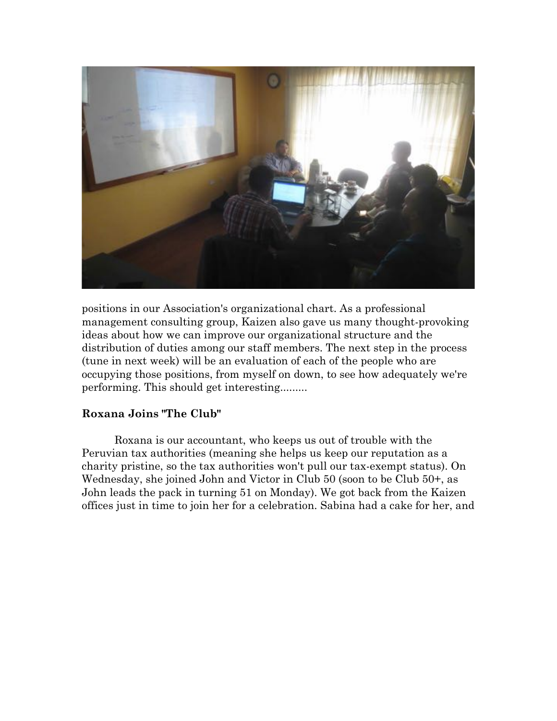

positions in our Association's organizational chart. As a professional management consulting group, Kaizen also gave us many thought-provoking ideas about how we can improve our organizational structure and the distribution of duties among our staff members. The next step in the process (tune in next week) will be an evaluation of each of the people who are occupying those positions, from myself on down, to see how adequately we're performing. This should get interesting.........

#### **Roxana Joins "The Club"**

Roxana is our accountant, who keeps us out of trouble with the Peruvian tax authorities (meaning she helps us keep our reputation as a charity pristine, so the tax authorities won't pull our tax-exempt status). On Wednesday, she joined John and Victor in Club 50 (soon to be Club 50+, as John leads the pack in turning 51 on Monday). We got back from the Kaizen offices just in time to join her for a celebration. Sabina had a cake for her, and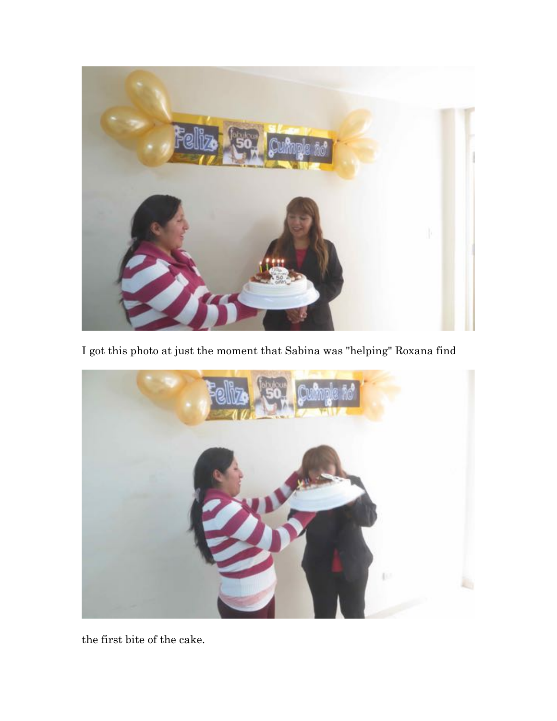

I got this photo at just the moment that Sabina was "helping" Roxana find



the first bite of the cake.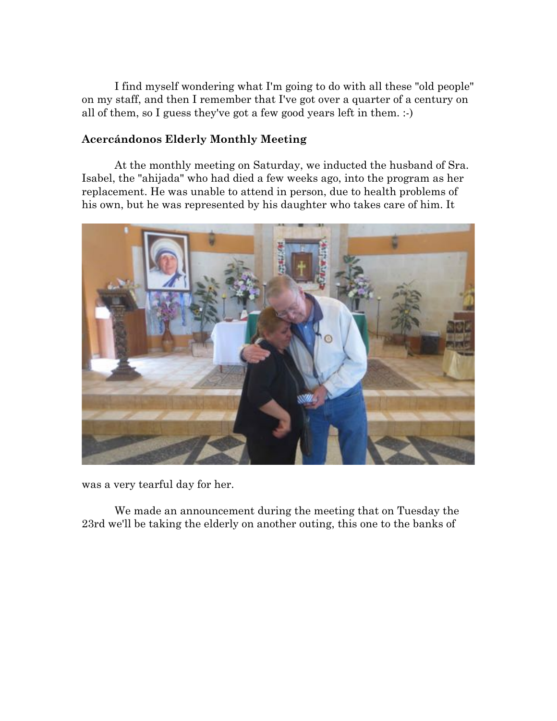I find myself wondering what I'm going to do with all these "old people" on my staff, and then I remember that I've got over a quarter of a century on all of them, so I guess they've got a few good years left in them. :-)

#### **Acercándonos Elderly Monthly Meeting**

At the monthly meeting on Saturday, we inducted the husband of Sra. Isabel, the "ahijada" who had died a few weeks ago, into the program as her replacement. He was unable to attend in person, due to health problems of his own, but he was represented by his daughter who takes care of him. It



was a very tearful day for her.

We made an announcement during the meeting that on Tuesday the 23rd we'll be taking the elderly on another outing, this one to the banks of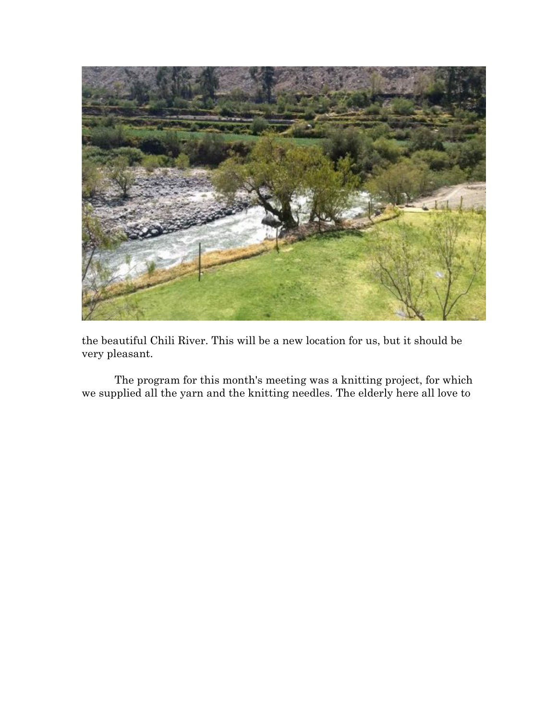

the beautiful Chili River. This will be a new location for us, but it should be very pleasant.

The program for this month's meeting was a knitting project, for which we supplied all the yarn and the knitting needles. The elderly here all love to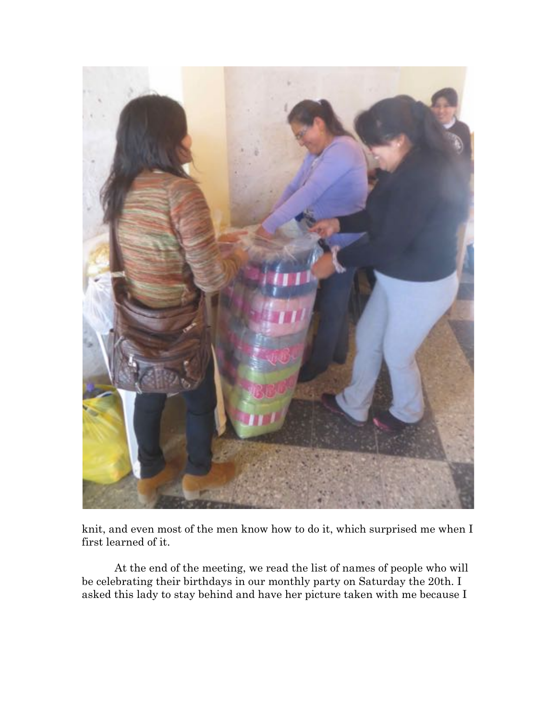

knit, and even most of the men know how to do it, which surprised me when I first learned of it.

At the end of the meeting, we read the list of names of people who will be celebrating their birthdays in our monthly party on Saturday the 20th. I asked this lady to stay behind and have her picture taken with me because I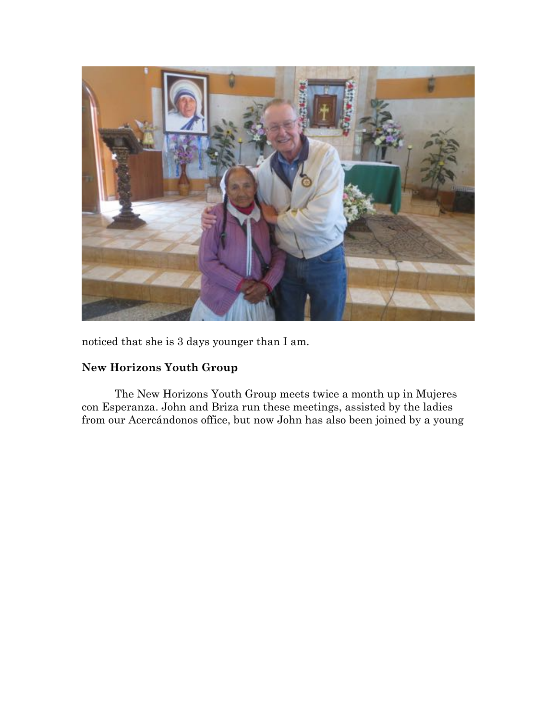

noticed that she is 3 days younger than I am.

## **New Horizons Youth Group**

The New Horizons Youth Group meets twice a month up in Mujeres con Esperanza. John and Briza run these meetings, assisted by the ladies from our Acercándonos office, but now John has also been joined by a young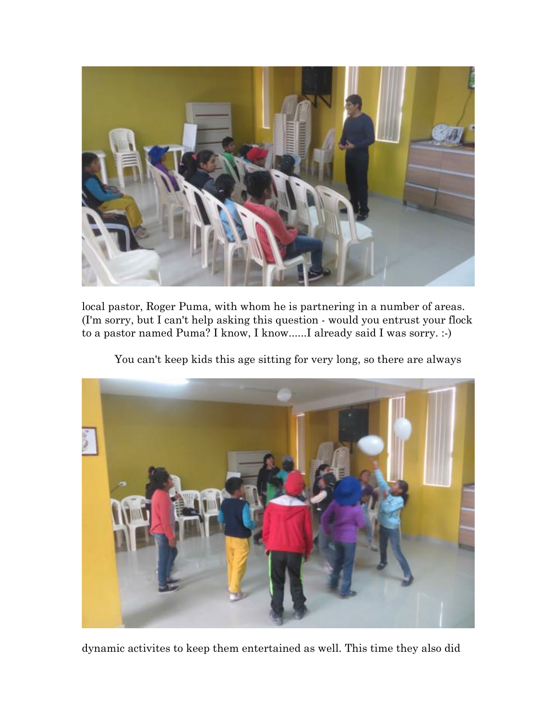

local pastor, Roger Puma, with whom he is partnering in a number of areas. (I'm sorry, but I can't help asking this question - would you entrust your flock to a pastor named Puma? I know, I know......I already said I was sorry. :-)

You can't keep kids this age sitting for very long, so there are always



dynamic activites to keep them entertained as well. This time they also did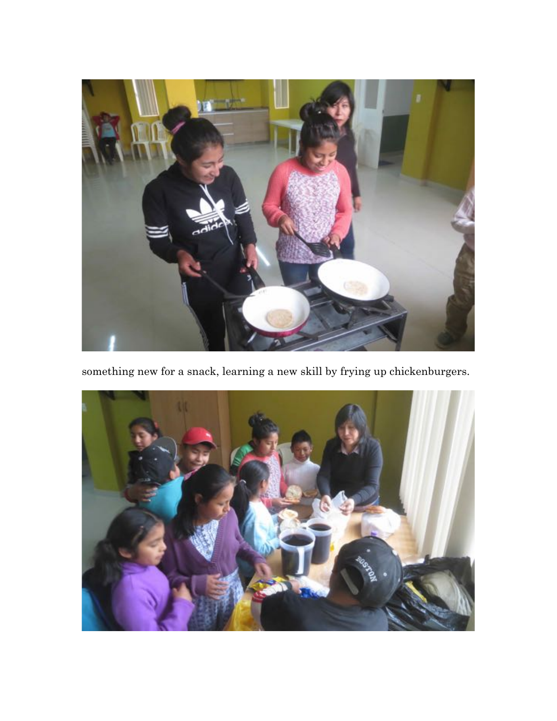

something new for a snack, learning a new skill by frying up chickenburgers.

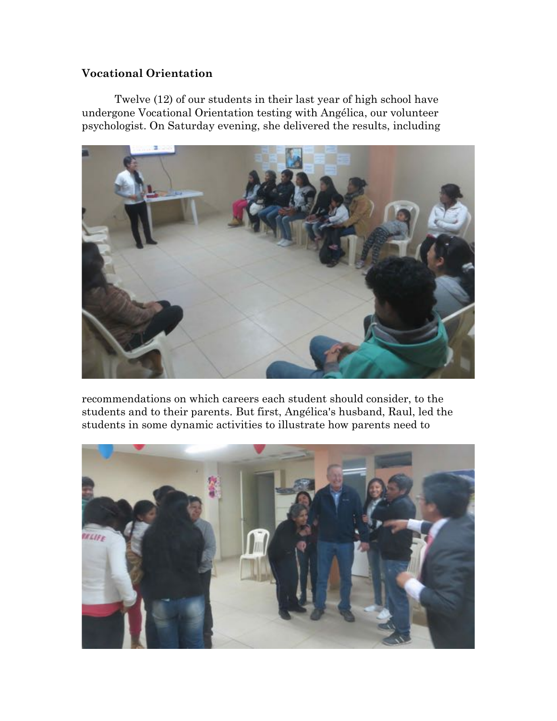#### **Vocational Orientation**

Twelve (12) of our students in their last year of high school have undergone Vocational Orientation testing with Angélica, our volunteer psychologist. On Saturday evening, she delivered the results, including



recommendations on which careers each student should consider, to the students and to their parents. But first, Angélica's husband, Raul, led the students in some dynamic activities to illustrate how parents need to